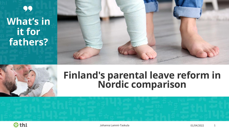# 99 **What's in it for fathers?**

### **Finland's parental leave reform in Nordic comparison**



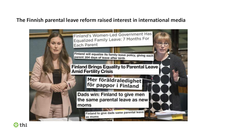### **The Finnish parental leave reform raised interest in international media**



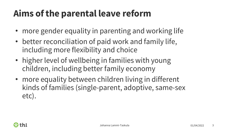# **Aims of the parental leave reform**

- more gender equality in parenting and working life
- better reconciliation of paid work and family life, including more flexibility and choice
- higher level of wellbeing in families with young children, including better family economy
- more equality between children living in different kinds of families (single-parent, adoptive, same-sex etc).

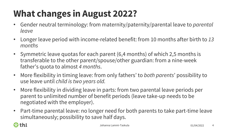# **What changes in August 2022?**

- Gender neutral terminology: from maternity/paternity/parental leave to *parental leave*
- Longer leave period with income-related benefit: from 10 months after birth to *13 months*
- Symmetric leave quotas for each parent (6,4 months) of which 2,5 months is transferable to the other parent/spouse/other guardian: from a nine-week father's quota to almost *4 months*.
- More flexibility in timing leave: from only fathers' to *both parents*' possibility to use leave until *child is two years old.*
- More flexibility in dividing leave in parts: from two parental leave periods per parent to unlimited number of benefit periods (leave take-up needs to be negotiated with the employer).
- Part-time parental leave: no longer need for both parents to take part-time leave simultaneously; possibility to save half days.

### thl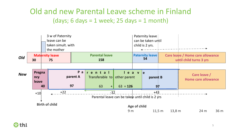### Old and new Parental Leave scheme in Finland (days; 6 days = 1 week; 25 days = 1 month)



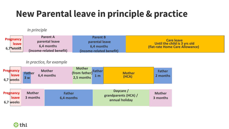## **New Parental leave in principle & practice**

#### *In principle*

|  |                                          | <b>Parent A</b>          | <b>Parent B</b>          |                                                                                      |
|--|------------------------------------------|--------------------------|--------------------------|--------------------------------------------------------------------------------------|
|  | <b>Pregnancy</b><br>leave<br>$6,7$ weeks | parental leave           | parental leave           | <b>Care leave</b><br>Until the child is 3 yrs old<br>(flat-rate Home Care Allowance) |
|  |                                          | 6.4 months               | 6.4 months               |                                                                                      |
|  |                                          | (income-related benefit) | (income-related benefit) |                                                                                      |

#### *In practice, for example*



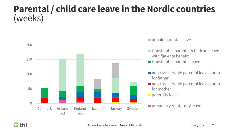### **Parental / child care leave in the Nordic countries** (weeks)



■ unpaid parental leave

- transferable parental /childcare leave with flat-rate benefit
- $\blacksquare$  transferable parental leave
- non-transferable parental leave quota for father
- non-transferable parental leave quota for mother
- $\blacksquare$  paternity leave

**Paragmental** pregnancy / maternity leave

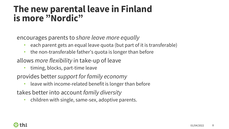### **The new parental leave in Finland is more "Nordic"**

encourages parents to *share leave more equally*

- each parent gets an equal leave quota (but part of it is transferable)
- the non-transferable father's quota is longer than before
- allows *more flexibility* in take-up of leave
	- timing, blocks, part-time leave
- provides better *support for family economy*
	- leave with income-related benefit is longer than before

takes better into account *family diversity*

• children with single, same-sex, adoptive parents.

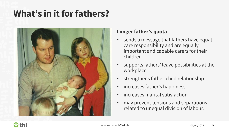### **What's in it for fathers?**



### **Longer father's quota**

- sends a message that fathers have equal care responsibility and are equally important and capable carers for their children
- supports fathers' leave possibilities at the workplace
- strengthens father-child relationship
- increases father's happiness
- increases marital satisfaction
- may prevent tensions and separations related to unequal division of labour.